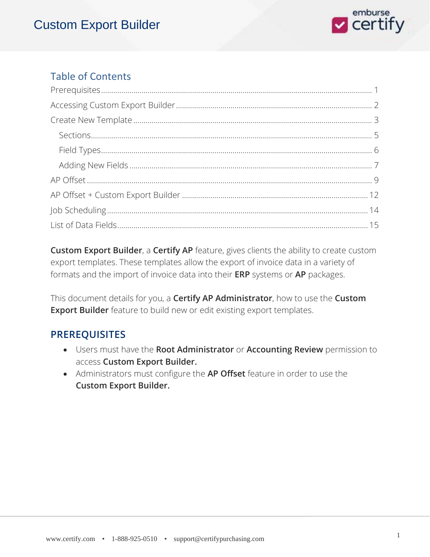

#### Table of Contents

**Custom Export Builder**, a **Certify AP** feature, gives clients the ability to create custom export templates. These templates allow the export of invoice data in a variety of formats and the import of invoice data into their **ERP** systems or **AP** packages.

This document details for you, a **Certify AP Administrator**, how to use the **Custom Export Builder** feature to build new or edit existing export templates.

#### **PREREQUISITES**

- Users must have the **Root Administrator** or **Accounting Review** permission to access **Custom Export Builder.**
- Administrators must configure the **AP Offset** feature in order to use the **Custom Export Builder.**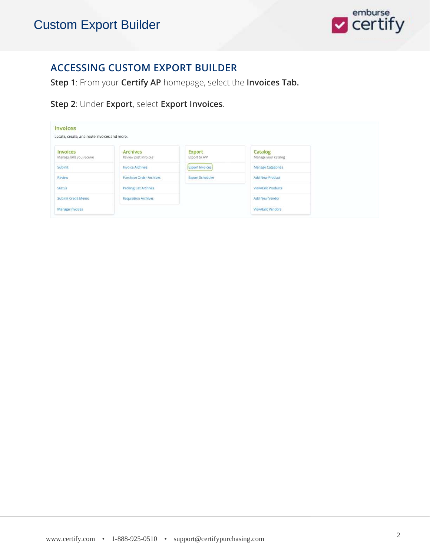

#### **ACCESSING CUSTOM EXPORT BUILDER**

**Step 1**: From your **Certify AP** homepage, select the **Invoices Tab.**

**Step 2**: Under **Export**, select **Export Invoices**.

| Invoices<br>Locate, create, and route invoices and more. |                                  |                         |                                |
|----------------------------------------------------------|----------------------------------|-------------------------|--------------------------------|
| Invoices<br>Manage bills you receive                     | Archives<br>Review past invoices | Export<br>Export to A/P | Catalog<br>Manage your catalog |
| Submit                                                   | <b>Invoice Archives</b>          | <b>Export Invoices</b>  | <b>Manage Categories</b>       |
| Review                                                   | Purchase Order Archives          | <b>Export Scheduler</b> | <b>Add New Product</b>         |
| Status                                                   | <b>Packing List Archives</b>     |                         | <b>View/Edit Products</b>      |
| Submit Credit Memo                                       | <b>Requisition Archives</b>      |                         | Add New Vendor                 |
| Manage Invoices                                          |                                  |                         | View/Edit Vendors              |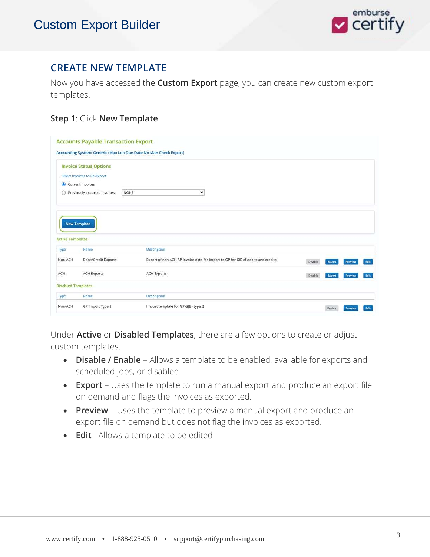

#### **CREATE NEW TEMPLATE**

Now you have accessed the **Custom Export** page, you can create new custom export templates.

#### **Step 1**: Click **New Template**.

|                                                                                        |                               | Accounting System: Generic (Max Len Due Date No Man Check Export)                 |         |        |         |              |
|----------------------------------------------------------------------------------------|-------------------------------|-----------------------------------------------------------------------------------|---------|--------|---------|--------------|
|                                                                                        | <b>Invoice Status Options</b> |                                                                                   |         |        |         |              |
|                                                                                        | Select Invoices to Re-Export  |                                                                                   |         |        |         |              |
|                                                                                        | Current Invoices              |                                                                                   |         |        |         |              |
| O                                                                                      | Previously exported invoices: | $\check{ }$<br>NONE                                                               |         |        |         |              |
|                                                                                        | <b>New Template</b>           |                                                                                   |         |        |         |              |
|                                                                                        |                               |                                                                                   |         |        |         |              |
|                                                                                        | Name                          | Description                                                                       |         |        |         |              |
|                                                                                        | Debit/Credit Exports          | Export of non ACH AP invoice data for import to GP for GJE of debits and credits. | Disable | Export | Preview |              |
|                                                                                        | <b>ACH Exports</b>            | <b>ACH Exports</b>                                                                | Disable | Export | Preview |              |
|                                                                                        |                               |                                                                                   |         |        |         | Edit<br>Edit |
| <b>Active Templates</b><br>Type<br>Non-ACH<br>ACH<br><b>Disabled Templates</b><br>Type | Name                          | <b>Description</b>                                                                |         |        |         |              |

Under **Active** or **Disabled Templates**, there are a few options to create or adjust custom templates.

- **Disable / Enable** Allows a template to be enabled, available for exports and scheduled jobs, or disabled.
- **Export** Uses the template to run a manual export and produce an export file on demand and flags the invoices as exported.
- **Preview** Uses the template to preview a manual export and produce an export file on demand but does not flag the invoices as exported.
- **Edit**  Allows a template to be edited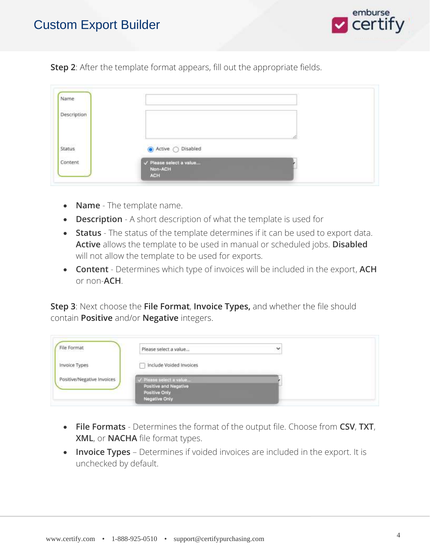

**Step 2**: After the template format appears, fill out the appropriate fields.

| Name        |                                                           |  |
|-------------|-----------------------------------------------------------|--|
| Description |                                                           |  |
|             |                                                           |  |
| Status      | ● Active ○ Disabled                                       |  |
| Content     | $\sqrt{P}$ Please select a value<br>Non-ACH<br><b>ACH</b> |  |

- **Name** The template name.
- **Description** A short description of what the template is used for
- **Status**  The status of the template determines if it can be used to export data. **Active** allows the template to be used in manual or scheduled jobs. **Disabled** will not allow the template to be used for exports.
- **Content**  Determines which type of invoices will be included in the export, **ACH** or non-**ACH**.

**Step 3**: Next choose the **File Format**, **Invoice Types,** and whether the file should contain **Positive** and/or **Negative** integers.

| File Format                | Please select a value                                                                     | v |
|----------------------------|-------------------------------------------------------------------------------------------|---|
| Invoice Types              | Include Voided Invoices                                                                   |   |
| Positive/Negative Invoices | / Please select a value<br>Positive and Negative<br>Positive Only<br><b>Negative Only</b> |   |

- **File Formats** Determines the format of the output file. Choose from **CSV**, **TXT**, **XML**, or **NACHA** file format types.
- **Invoice Types** Determines if voided invoices are included in the export. It is unchecked by default.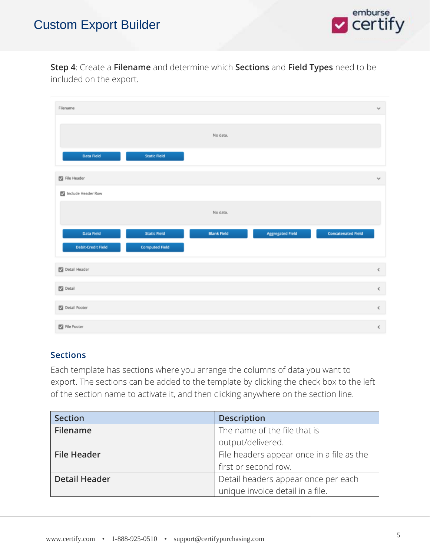

#### **Step 4**: Create a **Filename** and determine which **Sections** and **Field Types** need to be included on the export.

| Filename                  |                       |                    |                         |                           | $\checkmark$ |
|---------------------------|-----------------------|--------------------|-------------------------|---------------------------|--------------|
|                           |                       | No data.           |                         |                           |              |
| Data Field                | <b>Static Field</b>   |                    |                         |                           |              |
| File Header               |                       |                    |                         |                           | $\checkmark$ |
| Include Header Row        |                       |                    |                         |                           |              |
|                           |                       | No data.           |                         |                           |              |
| Data Field                | <b>Static Field</b>   | <b>Blank Field</b> | <b>Aggregated Field</b> | <b>Concatenated Field</b> |              |
| <b>Debit-Credit Field</b> | <b>Computed Field</b> |                    |                         |                           |              |
| Detail Header             |                       |                    |                         |                           | $\leq$       |
| $\Box$ Detail             |                       |                    |                         |                           | $\leq$       |
| Detail Footer             |                       |                    |                         |                           | $\,<$        |
| File Footer               |                       |                    |                         |                           | $\hat{<}$    |

#### **Sections**

Each template has sections where you arrange the columns of data you want to export. The sections can be added to the template by clicking the check box to the left of the section name to activate it, and then clicking anywhere on the section line.

| <b>Section</b>       | <b>Description</b>                        |
|----------------------|-------------------------------------------|
| Filename             | The name of the file that is              |
|                      | output/delivered.                         |
| <b>File Header</b>   | File headers appear once in a file as the |
|                      | first or second row.                      |
| <b>Detail Header</b> | Detail headers appear once per each       |
|                      | unique invoice detail in a file.          |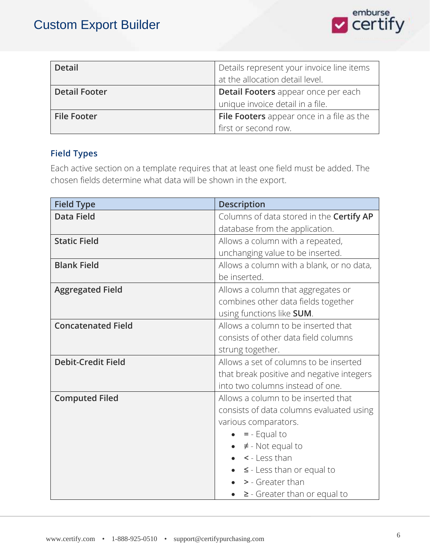

| <b>Detail</b>        | Details represent your invoice line items |
|----------------------|-------------------------------------------|
|                      | at the allocation detail level.           |
| <b>Detail Footer</b> | Detail Footers appear once per each       |
|                      | unique invoice detail in a file.          |
| <b>File Footer</b>   | File Footers appear once in a file as the |
|                      | first or second row.                      |

#### **Field Types**

Each active section on a template requires that at least one field must be added. The chosen fields determine what data will be shown in the export.

| <b>Field Type</b>         | <b>Description</b>                        |
|---------------------------|-------------------------------------------|
| <b>Data Field</b>         | Columns of data stored in the Certify AP  |
|                           | database from the application.            |
| <b>Static Field</b>       | Allows a column with a repeated,          |
|                           | unchanging value to be inserted.          |
| <b>Blank Field</b>        | Allows a column with a blank, or no data, |
|                           | be inserted.                              |
| <b>Aggregated Field</b>   | Allows a column that aggregates or        |
|                           | combines other data fields together       |
|                           | using functions like SUM.                 |
| <b>Concatenated Field</b> | Allows a column to be inserted that       |
|                           | consists of other data field columns      |
|                           | strung together.                          |
| <b>Debit-Credit Field</b> | Allows a set of columns to be inserted    |
|                           | that break positive and negative integers |
|                           | into two columns instead of one.          |
| <b>Computed Filed</b>     | Allows a column to be inserted that       |
|                           | consists of data columns evaluated using  |
|                           | various comparators.                      |
|                           | $= -$ Equal to                            |
|                           | $\neq$ - Not equal to                     |
|                           | < - Less than                             |
|                           | $\leq$ - Less than or equal to            |
|                           | > - Greater than                          |
|                           | $\geq$ - Greater than or equal to         |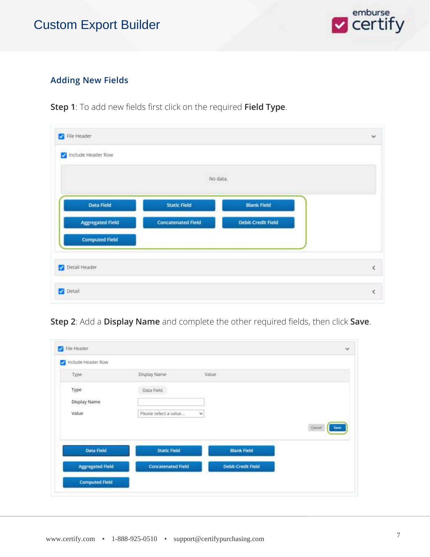

#### **Adding New Fields**

**Step 1**: To add new fields first click on the required **Field Type**.

|                         | No data.                  |                           |  |
|-------------------------|---------------------------|---------------------------|--|
| Data Field              | <b>Static Field</b>       | <b>Blank Field</b>        |  |
| <b>Aggregated Field</b> | <b>Concatenated Field</b> | <b>Debit-Credit Field</b> |  |
| <b>Computed Field</b>   |                           |                           |  |

**Step 2**: Add a **Display Name** and complete the other required fields, then click **Save**.

| Include Header Row      |                                             |                           |              |
|-------------------------|---------------------------------------------|---------------------------|--------------|
| Type                    | Display Name                                | Value                     |              |
| Type                    | Data Field                                  |                           |              |
| Display Name            |                                             |                           |              |
| Value                   | Please select a value<br>Ÿ                  |                           |              |
|                         |                                             |                           | Cancel<br>Sm |
| Data Field              | <b>Static Field</b>                         | <b>Blank Field</b>        |              |
| <b>Aggregated Field</b> | <b>Concatenated Field</b><br><b>SETTING</b> | <b>Debit-Credit Field</b> |              |
| <b>Computed Field</b>   |                                             |                           |              |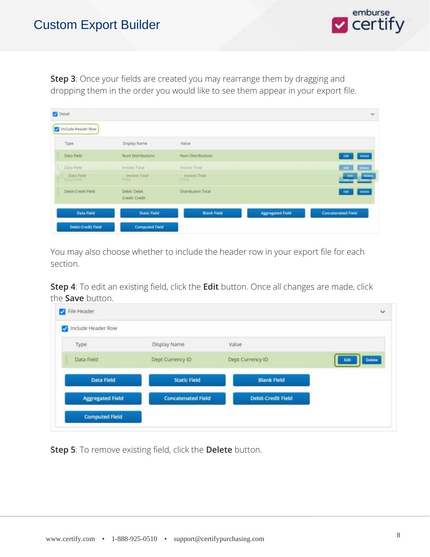

**Step 3**: Once your fields are created you may rearrange them by dragging and dropping them in the order you would like to see them appear in your export file.

| <b>Detail</b> |                                  |                                 |                                                     |                         | ×                                         |
|---------------|----------------------------------|---------------------------------|-----------------------------------------------------|-------------------------|-------------------------------------------|
|               | Include Header Row               |                                 |                                                     |                         |                                           |
| Type:         |                                  | Display Name                    | Value                                               |                         |                                           |
|               | Data Field                       | Num Distributions               | Num Distributions                                   |                         | Delety)<br>16t                            |
|               | Data Finle                       | invoice Tora                    | Immice Total                                        |                         | Diffile<br><b>Tim</b>                     |
|               | Data Field<br><b>FULLS FULLE</b> | Invoice Total<br><b>REMARKS</b> | <b>Invitre Tinai</b><br><b>SIT ASA TITLE TO THE</b> |                         | <b>Theiring</b><br>-1401<br><b>beines</b> |
|               | Debit-Credit Field               | Debit: Debit<br>Credit: Credit  | <b>Distribution Total</b>                           |                         | Delete<br><b>Edit</b>                     |
|               | Data Field                       | <b>Static Field</b>             | <b>Blank Field</b>                                  | <b>Aggregated Field</b> | <b>Concatenated Field</b>                 |
|               | <b>Debit-Credit Field</b>        | <b>Computed Field</b>           |                                                     |                         |                                           |

You may also choose whether to include the header row in your export file for each section.

**Step 4**: To edit an existing field, click the **Edit** button. Once all changes are made, click the **Save** button.

| Include Header Row      |                           |                           |                       |
|-------------------------|---------------------------|---------------------------|-----------------------|
| Type                    | Display Name              | Value                     |                       |
| Data Field              | Dept Currency ID          | Dept Currency ID          | <b>Delete</b><br>Edit |
| Data Field              | <b>Static Field</b>       | <b>Blank Field</b>        |                       |
| <b>Aggregated Field</b> | <b>Concatenated Field</b> | <b>Debit-Credit Field</b> |                       |

**Step 5**: To remove existing field, click the **Delete** button.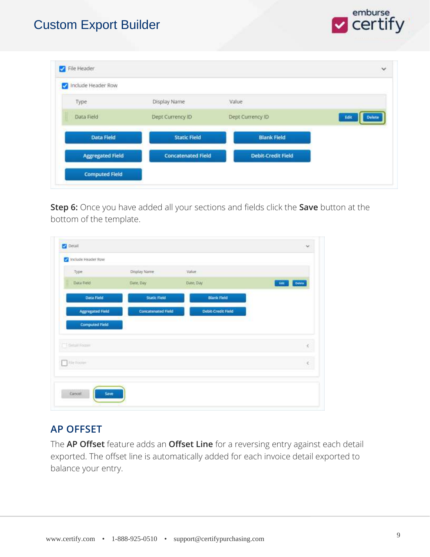

| <b>Aggregated Field</b> | <b>Concatenated Field</b> | <b>Debit-Credit Field</b> |                       |
|-------------------------|---------------------------|---------------------------|-----------------------|
| <b>Data Field</b>       | <b>Static Field</b>       | <b>Blank Field</b>        |                       |
| Data Field              | Dept Currency ID          | Dept Currency ID          | <b>Delete</b><br>Edit |
| Type                    | Display Name              | Value                     |                       |

**Step 6:** Once you have added all your sections and fields click the **Save** button at the bottom of the template.

| Type                    | Display Name              | Value                     |                       |
|-------------------------|---------------------------|---------------------------|-----------------------|
| Data Field              | Date, Day                 | Date, Day                 | <b>Delete</b><br>Edit |
| Data Field              | <b>Static Field</b>       | <b>Blank Field</b>        |                       |
| <b>Aggregated Field</b> | <b>Concatenated Field</b> | <b>Debit Credit Field</b> |                       |
| <b>Computed Field</b>   |                           |                           |                       |
| T The Lat Former        |                           |                           | ċ                     |
| This tooley             |                           |                           | ¢                     |

#### **AP OFFSET**

The **AP Offset** feature adds an **Offset Line** for a reversing entry against each detail exported. The offset line is automatically added for each invoice detail exported to balance your entry.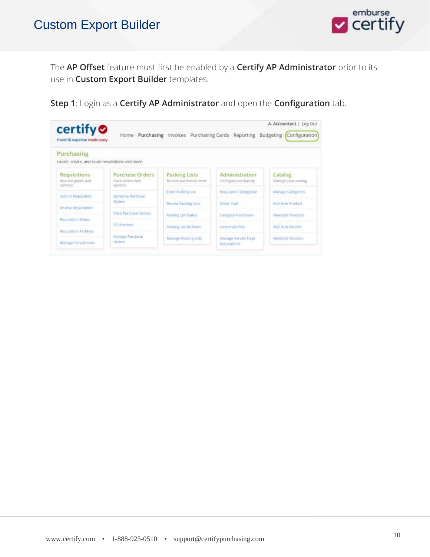

The **AP Offset** feature must first be enabled by a **Certify AP Administrator** prior to its use in **Custom Export Builder** templates.

**Step 1**: Login as a **Certify AP Administrator** and open the **Configuration** tab.

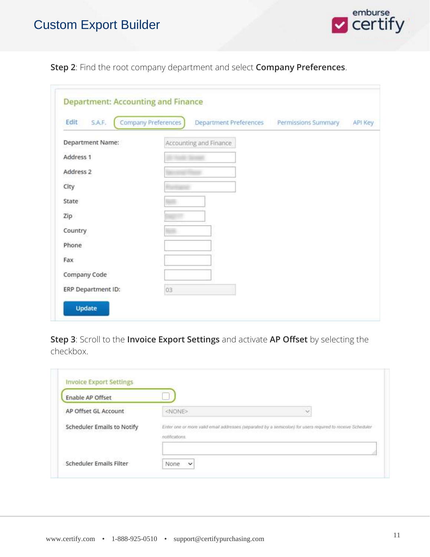

**Step 2**: Find the root company department and select **Company Preferences**.

| S.A.F.<br>Edit     | Company Preferences<br>Department Preferences Permissions Summary<br>API Key |
|--------------------|------------------------------------------------------------------------------|
| Department Name:   | Accounting and Finance                                                       |
| Address 1          |                                                                              |
| Address 2          |                                                                              |
| City               |                                                                              |
| State              |                                                                              |
| Zip                |                                                                              |
| Country            |                                                                              |
| Phone              |                                                                              |
| Fax                |                                                                              |
| Company Code       |                                                                              |
| ERP Department ID: | 03                                                                           |

**Step 3**: Scroll to the **Invoice Export Settings** and activate **AP Offset** by selecting the checkbox.

| <b>Enable AP Offset</b>    |                |                                                                                                            |
|----------------------------|----------------|------------------------------------------------------------------------------------------------------------|
| AP Offset GL Account       | <none></none>  | $\sim$                                                                                                     |
| Scheduler Emails to Notify | notifications. | Enter one or more valid email addresses (separated by a semicolon) for users required to receive Scheduler |
|                            |                |                                                                                                            |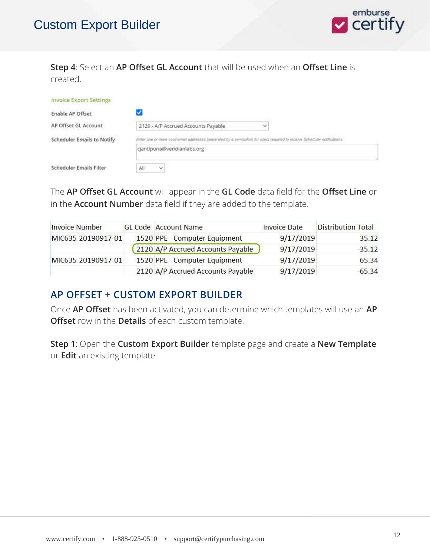

**Step 4**: Select an **AP Offset GL Account** that will be used when an **Offset Line** is created.

| <b>Invoice Export Settings</b>    |                                                                                                                          |
|-----------------------------------|--------------------------------------------------------------------------------------------------------------------------|
| Enable AP Offset                  |                                                                                                                          |
| AP Offset GL Account              | 2120 - A/P Accrued Accounts Payable<br>$\checkmark$                                                                      |
| <b>Scheduler Emails to Notify</b> | Enter one or more valid email addresses (separated by a semicolor) for users required to receive Scheduler notifications |
|                                   | cjantipuna@veridianlabs.org                                                                                              |
| <b>Scheduler Emails Filter</b>    | Al<br>$\checkmark$                                                                                                       |

The **AP Offset GL Account** will appear in the **GL Code** data field for the **Offset Line** or in the **Account Number** data field if they are added to the template.

| <b>Invoice Number</b> | GL Code Account Name              | <b>Invoice Date</b> | <b>Distribution Total</b> |
|-----------------------|-----------------------------------|---------------------|---------------------------|
| MIC635-20190917-01    | 1520 PPE - Computer Equipment     | 9/17/2019           | 35.12                     |
|                       | 2120 A/P Accrued Accounts Payable | 9/17/2019           | $-35.12$                  |
| MIC635-20190917-01    | 1520 PPE - Computer Equipment     | 9/17/2019           | 65.34                     |
|                       | 2120 A/P Accrued Accounts Payable | 9/17/2019           | $-65.34$                  |

#### **AP OFFSET + CUSTOM EXPORT BUILDER**

Once **AP Offset** has been activated, you can determine which templates will use an **AP Offset** row in the **Details** of each custom template.

**Step 1**: Open the **Custom Export Builder** template page and create a **New Template** or **Edit** an existing template.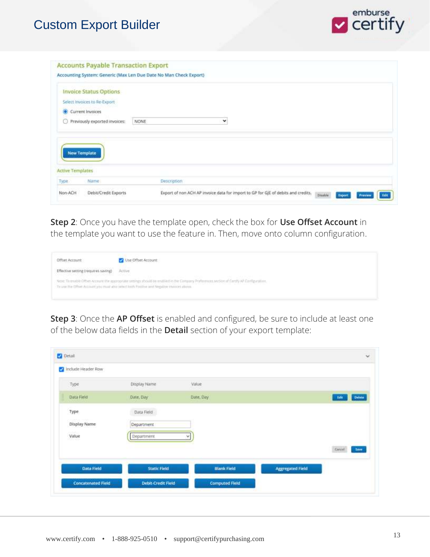

|                                 | <b>Invoice Status Options</b> |             |
|---------------------------------|-------------------------------|-------------|
|                                 | Select Invoices to Re-Export  |             |
|                                 | Current Invoices              |             |
| 0                               | Previously exported invoices: | v<br>NONE   |
|                                 |                               |             |
|                                 |                               |             |
|                                 |                               |             |
|                                 |                               |             |
| <b>New Template</b>             |                               |             |
|                                 |                               |             |
| <b>Active Templates</b><br>Type | Name:                         | Description |

**Step 2**: Once you have the template open, check the box for **Use Offset Account** in the template you want to use the feature in. Then, move onto column configuration.

| Offiset Account<br>전하지 않아보다 아니 건 아이들이                                                                                                                                                                | Use Offset Account                                                                                                                                                                                                                                                                                                        |
|------------------------------------------------------------------------------------------------------------------------------------------------------------------------------------------------------|---------------------------------------------------------------------------------------------------------------------------------------------------------------------------------------------------------------------------------------------------------------------------------------------------------------------------|
| Effective setting (requires saving)<br>문제 2007년 10월 20일 전 10월 20일 10월 20일 10월 20일<br>대한민국의 대한민국의 대한민국의 대한민국의 대한민국의 대한민국의 대한민국의 대한민국의 대한민국의 대한민국의 대한민국의 대한민국의 대한민국의 대한민국의 대한민국의 대한민국의 대한민국의 대한민국의 대한민 | Active<br><b>CONTRACTOR</b><br><b>STATISTICS</b>                                                                                                                                                                                                                                                                          |
|                                                                                                                                                                                                      | NIDE To enable Offset-Account the appropriate settings should be enabled to the Campus<br>Proferences section of Cartily AP Configuration.<br>15 1 : 2004 12:00:12:00 PM ASSAULT AND THE TABLE 12:00 PM AND THE TABLE 12:00 PM<br>To use the Offset Act=2H you that abut infect both Polities and Negative Hypotel above. |

**Step 3**: Once the **AP Offset** is enabled and configured, be sure to include at least one of the below data fields in the **Detail** section of your export template:

|                                | Display Name        | Value              |                         |                |
|--------------------------------|---------------------|--------------------|-------------------------|----------------|
| Type                           |                     |                    |                         |                |
| Data Field                     | Date, Day           | Date, Day          |                         | Defete<br>tale |
| Type                           | Data Field          |                    |                         |                |
| <b>CHOSSIL</b><br>Display Name | Department          |                    |                         |                |
| Value                          | <b>Department</b>   | w                  |                         |                |
|                                |                     |                    |                         | Cencel<br>Seve |
| Data Field                     | <b>Static Field</b> | <b>Blank Field</b> | <b>Aggregated Field</b> |                |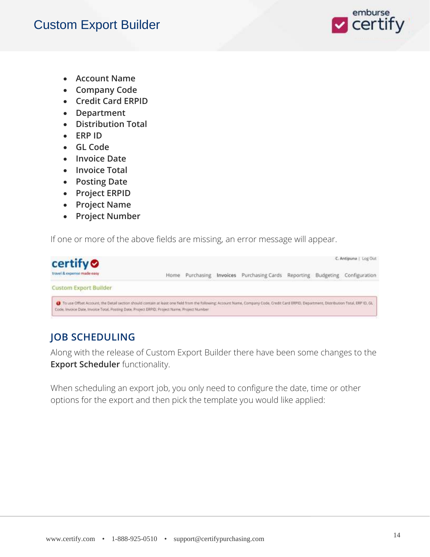

- **Account Name**
- **Company Code**
- **Credit Card ERPID**
- **Department**
- **Distribution Total**
- **ERP ID**
- **GL Code**
- **Invoice Date**
- **Invoice Total**
- **Posting Date**
- **Project ERPID**
- **Project Name**
- **Project Number**

If one or more of the above fields are missing, an error message will appear.

| certify <sup>o</sup>                                                                                                                                                                                                                                                                         |      |            |                                                             |  | C. Antipuna   Log Out |
|----------------------------------------------------------------------------------------------------------------------------------------------------------------------------------------------------------------------------------------------------------------------------------------------|------|------------|-------------------------------------------------------------|--|-----------------------|
| travel & expense made easy<br>ration of the programmed and security and all the                                                                                                                                                                                                              | Home | Purchasing | Invoices Purchasing Cards Reporting Budgeting Configuration |  |                       |
| <b>Custom Export Builder</b>                                                                                                                                                                                                                                                                 |      |            |                                                             |  |                       |
| () To use Offset Account, the Detail section should contain at least one field from the following; Account Name, Company Code, Credit Card ERPID, Department, Distribution Total, ERPID, GL.<br>Code, Invoice Date, Invoice Total, Posting Date, Project ERPID, Project Name, Project Number |      |            |                                                             |  |                       |

### **JOB SCHEDULING**

Along with the release of Custom Export Builder there have been some changes to the **Export Scheduler** functionality.

When scheduling an export job, you only need to configure the date, time or other options for the export and then pick the template you would like applied: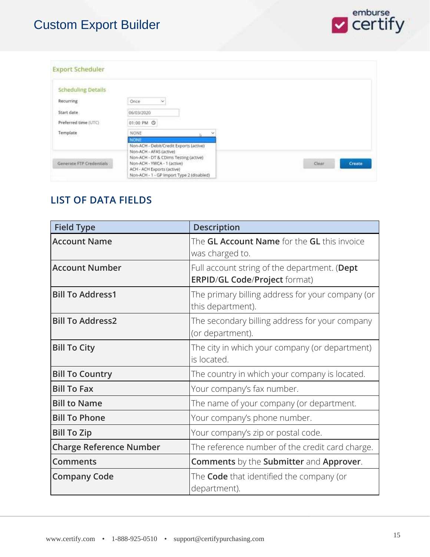

| <b>Export Scheduler</b>   |                                                                  |                 |
|---------------------------|------------------------------------------------------------------|-----------------|
| <b>Scheduling Details</b> |                                                                  |                 |
| Recurring                 | Once<br>$\ddot{\sim}$                                            |                 |
| Start date                | 06/03/2020                                                       |                 |
| Preferred time (UTC)      | 01:00 PM ©                                                       |                 |
| Template                  | <b>NONE</b>                                                      |                 |
|                           | <b>NONE</b><br>Non-ACH - Debit/Credit Exports (active)           |                 |
|                           | Non-ACH - AFAS (active)<br>Non-ACH - DT & CDims Testing (active) |                 |
| Generate FTP Credentials: | Non-ACH - YWCA - 1 (active)<br>ACH - ACH Exports (active)        | Clear<br>Create |
|                           | Non-ACH - 1 - GP Import Type 2 (disabled)                        |                 |

#### **LIST OF DATA FIELDS**

| <b>Field Type</b>              | <b>Description</b>                                                                   |
|--------------------------------|--------------------------------------------------------------------------------------|
| <b>Account Name</b>            | The <b>GL Account Name</b> for the <b>GL</b> this invoice<br>was charged to.         |
| <b>Account Number</b>          | Full account string of the department. (Dept<br><b>ERPID/GL Code/Project format)</b> |
| <b>Bill To Address1</b>        | The primary billing address for your company (or<br>this department).                |
| <b>Bill To Address2</b>        | The secondary billing address for your company<br>(or department).                   |
| <b>Bill To City</b>            | The city in which your company (or department)<br>is located.                        |
| <b>Bill To Country</b>         | The country in which your company is located.                                        |
| <b>Bill To Fax</b>             | Your company's fax number.                                                           |
| <b>Bill to Name</b>            | The name of your company (or department.                                             |
| <b>Bill To Phone</b>           | Your company's phone number.                                                         |
| <b>Bill To Zip</b>             | Your company's zip or postal code.                                                   |
| <b>Charge Reference Number</b> | The reference number of the credit card charge.                                      |
| <b>Comments</b>                | <b>Comments</b> by the <b>Submitter</b> and <b>Approver</b> .                        |
| <b>Company Code</b>            | The <b>Code</b> that identified the company (or<br>department).                      |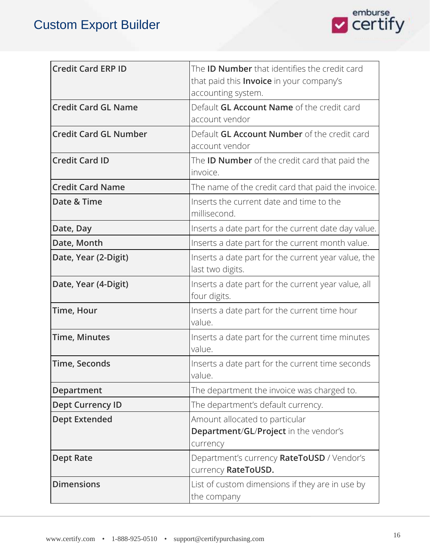

| <b>Credit Card ERP ID</b>    | The <b>ID Number</b> that identifies the credit card                    |
|------------------------------|-------------------------------------------------------------------------|
|                              | that paid this <b>Invoice</b> in your company's<br>accounting system.   |
| <b>Credit Card GL Name</b>   | Default <b>GL Account Name</b> of the credit card                       |
|                              | account vendor                                                          |
| <b>Credit Card GL Number</b> | Default <b>GL Account Number</b> of the credit card                     |
|                              | account vendor                                                          |
| <b>Credit Card ID</b>        | The <b>ID Number</b> of the credit card that paid the<br>invoice.       |
| <b>Credit Card Name</b>      | The name of the credit card that paid the invoice.                      |
| Date & Time                  | Inserts the current date and time to the<br>millisecond.                |
| Date, Day                    | Inserts a date part for the current date day value.                     |
| Date, Month                  | Inserts a date part for the current month value.                        |
| Date, Year (2-Digit)         | Inserts a date part for the current year value, the<br>last two digits. |
| Date, Year (4-Digit)         | Inserts a date part for the current year value, all<br>four digits.     |
| Time, Hour                   | Inserts a date part for the current time hour<br>value.                 |
| <b>Time, Minutes</b>         | Inserts a date part for the current time minutes<br>value.              |
| <b>Time, Seconds</b>         | Inserts a date part for the current time seconds<br>value               |
| <b>Department</b>            | The department the invoice was charged to.                              |
| <b>Dept Currency ID</b>      | The department's default currency.                                      |
| <b>Dept Extended</b>         | Amount allocated to particular                                          |
|                              | Department/GL/Project in the vendor's                                   |
|                              | currency                                                                |
| <b>Dept Rate</b>             | Department's currency RateToUSD / Vendor's<br>currency RateToUSD.       |
| <b>Dimensions</b>            | List of custom dimensions if they are in use by<br>the company          |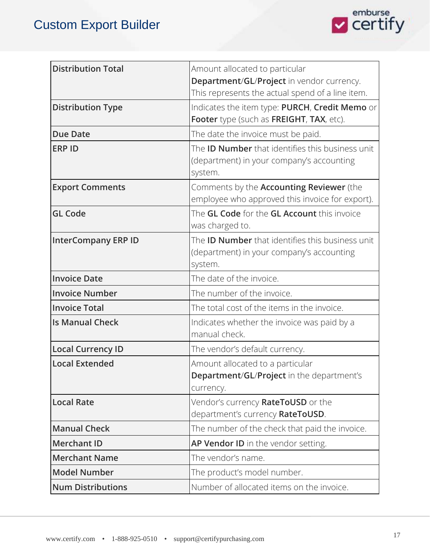

| <b>Distribution Total</b>  | Amount allocated to particular                            |
|----------------------------|-----------------------------------------------------------|
|                            | Department/GL/Project in vendor currency.                 |
|                            | This represents the actual spend of a line item.          |
| <b>Distribution Type</b>   | Indicates the item type: PURCH, Credit Memo or            |
|                            | Footer type (such as FREIGHT, TAX, etc).                  |
| <b>Due Date</b>            | The date the invoice must be paid.                        |
| <b>ERP ID</b>              | The <b>ID Number</b> that identifies this business unit   |
|                            | (department) in your company's accounting                 |
|                            | system.                                                   |
| <b>Export Comments</b>     | Comments by the <b>Accounting Reviewer</b> (the           |
|                            | employee who approved this invoice for export).           |
| <b>GL Code</b>             | The <b>GL Code</b> for the <b>GL Account</b> this invoice |
|                            | was charged to.                                           |
| <b>InterCompany ERP ID</b> | The <b>ID Number</b> that identifies this business unit   |
|                            | (department) in your company's accounting                 |
|                            | system.                                                   |
| <b>Invoice Date</b>        | The date of the invoice.                                  |
| <b>Invoice Number</b>      | The number of the invoice.                                |
| <b>Invoice Total</b>       | The total cost of the items in the invoice.               |
| <b>Is Manual Check</b>     | Indicates whether the invoice was paid by a               |
|                            | manual check.                                             |
| <b>Local Currency ID</b>   | The vendor's default currency.                            |
| <b>Local Extended</b>      | Amount allocated to a particular                          |
|                            | Department/GL/Project in the department's                 |
|                            | currency.                                                 |
| <b>Local Rate</b>          | Vendor's currency RateToUSD or the                        |
|                            | department's currency RateToUSD.                          |
| <b>Manual Check</b>        | The number of the check that paid the invoice.            |
| <b>Merchant ID</b>         | AP Vendor ID in the vendor setting.                       |
| <b>Merchant Name</b>       | The vendor's name.                                        |
| <b>Model Number</b>        | The product's model number.                               |
| <b>Num Distributions</b>   | Number of allocated items on the invoice.                 |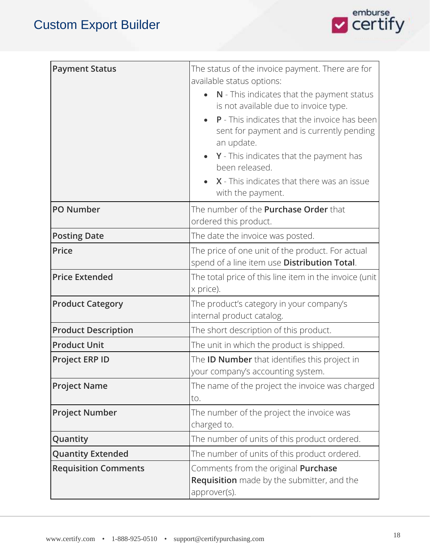

| <b>Payment Status</b>       | The status of the invoice payment. There are for<br>available status options:                                   |
|-----------------------------|-----------------------------------------------------------------------------------------------------------------|
|                             | N - This indicates that the payment status<br>is not available due to invoice type.                             |
|                             | <b>P</b> - This indicates that the invoice has been<br>sent for payment and is currently pending<br>an update.  |
|                             | $Y$ - This indicates that the payment has<br>been released.                                                     |
|                             | X - This indicates that there was an issue<br>with the payment.                                                 |
| <b>PO Number</b>            | The number of the <b>Purchase Order</b> that<br>ordered this product.                                           |
| <b>Posting Date</b>         | The date the invoice was posted.                                                                                |
| Price                       | The price of one unit of the product. For actual<br>spend of a line item use Distribution Total.                |
| <b>Price Extended</b>       | The total price of this line item in the invoice (unit<br>x price).                                             |
| <b>Product Category</b>     | The product's category in your company's<br>internal product catalog.                                           |
| <b>Product Description</b>  | The short description of this product.                                                                          |
| <b>Product Unit</b>         | The unit in which the product is shipped.                                                                       |
| <b>Project ERP ID</b>       | The <b>ID Number</b> that identifies this project in<br>your company's accounting system.                       |
| <b>Project Name</b>         | The name of the project the invoice was charged<br>to.                                                          |
| <b>Project Number</b>       | The number of the project the invoice was<br>charged to.                                                        |
| Quantity                    | The number of units of this product ordered.                                                                    |
| <b>Quantity Extended</b>    | The number of units of this product ordered.                                                                    |
| <b>Requisition Comments</b> | Comments from the original <b>Purchase</b><br><b>Requisition</b> made by the submitter, and the<br>approver(s). |